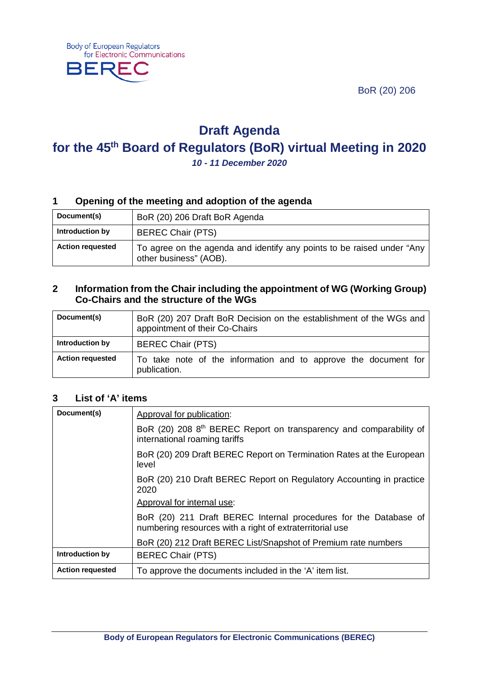BoR (20) 206



# **Draft Agenda for the 45th Board of Regulators (BoR) virtual Meeting in 2020**

*10 - 11 December 2020*

# **1 Opening of the meeting and adoption of the agenda**

| Document(s)             | BoR (20) 206 Draft BoR Agenda                                                                    |
|-------------------------|--------------------------------------------------------------------------------------------------|
| Introduction by         | <b>BEREC Chair (PTS)</b>                                                                         |
| <b>Action requested</b> | To agree on the agenda and identify any points to be raised under "Any<br>other business" (AOB). |

#### **2 Information from the Chair including the appointment of WG (Working Group) Co-Chairs and the structure of the WGs**

| Document(s)             | BoR (20) 207 Draft BoR Decision on the establishment of the WGs and<br>appointment of their Co-Chairs |
|-------------------------|-------------------------------------------------------------------------------------------------------|
| Introduction by         | <b>BEREC Chair (PTS)</b>                                                                              |
| <b>Action requested</b> | To take note of the information and to approve the document for<br>publication.                       |

#### **3 List of 'A' items**

| Document(s)             | Approval for publication:                                                                                                    |
|-------------------------|------------------------------------------------------------------------------------------------------------------------------|
|                         | BoR (20) 208 8th BEREC Report on transparency and comparability of<br>international roaming tariffs                          |
|                         | BoR (20) 209 Draft BEREC Report on Termination Rates at the European<br>level                                                |
|                         | BoR (20) 210 Draft BEREC Report on Regulatory Accounting in practice<br>2020                                                 |
|                         | Approval for internal use:                                                                                                   |
|                         | BoR (20) 211 Draft BEREC Internal procedures for the Database of<br>numbering resources with a right of extraterritorial use |
|                         | BoR (20) 212 Draft BEREC List/Snapshot of Premium rate numbers                                                               |
| Introduction by         | <b>BEREC Chair (PTS)</b>                                                                                                     |
| <b>Action requested</b> | To approve the documents included in the 'A' item list.                                                                      |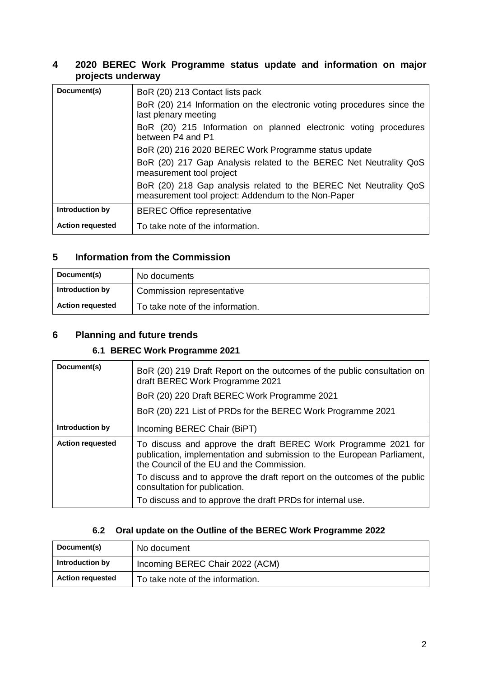### **4 2020 BEREC Work Programme status update and information on major projects underway**

| Document(s)             | BoR (20) 213 Contact lists pack                                                                                          |
|-------------------------|--------------------------------------------------------------------------------------------------------------------------|
|                         | BoR (20) 214 Information on the electronic voting procedures since the<br>last plenary meeting                           |
|                         | BoR (20) 215 Information on planned electronic voting procedures<br>between P4 and P1                                    |
|                         | BoR (20) 216 2020 BEREC Work Programme status update                                                                     |
|                         | BoR (20) 217 Gap Analysis related to the BEREC Net Neutrality QoS<br>measurement tool project                            |
|                         | BoR (20) 218 Gap analysis related to the BEREC Net Neutrality QoS<br>measurement tool project: Addendum to the Non-Paper |
| Introduction by         | <b>BEREC Office representative</b>                                                                                       |
| <b>Action requested</b> | To take note of the information.                                                                                         |

### **5 Information from the Commission**

| Document(s)             | No documents                     |
|-------------------------|----------------------------------|
| Introduction by         | Commission representative        |
| <b>Action requested</b> | To take note of the information. |

## **6 Planning and future trends**

# **6.1 BEREC Work Programme 2021**

| Document(s)             | BoR (20) 219 Draft Report on the outcomes of the public consultation on<br>draft BEREC Work Programme 2021                                                                            |
|-------------------------|---------------------------------------------------------------------------------------------------------------------------------------------------------------------------------------|
|                         | BoR (20) 220 Draft BEREC Work Programme 2021                                                                                                                                          |
|                         | BoR (20) 221 List of PRDs for the BEREC Work Programme 2021                                                                                                                           |
| Introduction by         | Incoming BEREC Chair (BiPT)                                                                                                                                                           |
| <b>Action requested</b> | To discuss and approve the draft BEREC Work Programme 2021 for<br>publication, implementation and submission to the European Parliament,<br>the Council of the EU and the Commission. |
|                         | To discuss and to approve the draft report on the outcomes of the public<br>consultation for publication.                                                                             |
|                         | To discuss and to approve the draft PRDs for internal use.                                                                                                                            |

# **6.2 Oral update on the Outline of the BEREC Work Programme 2022**

| Document(s)             | No document                      |
|-------------------------|----------------------------------|
| Introduction by         | Incoming BEREC Chair 2022 (ACM)  |
| <b>Action requested</b> | To take note of the information. |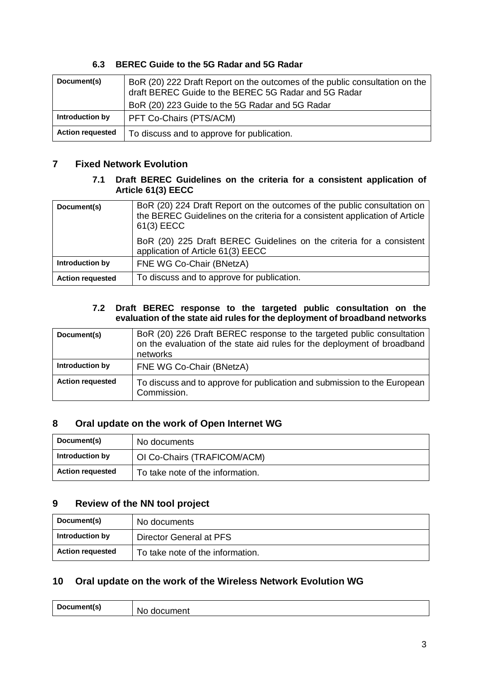## **6.3 BEREC Guide to the 5G Radar and 5G Radar**

| Document(s)             | BoR (20) 222 Draft Report on the outcomes of the public consultation on the<br>draft BEREC Guide to the BEREC 5G Radar and 5G Radar<br>BoR (20) 223 Guide to the 5G Radar and 5G Radar |
|-------------------------|----------------------------------------------------------------------------------------------------------------------------------------------------------------------------------------|
| Introduction by         | PFT Co-Chairs (PTS/ACM)                                                                                                                                                                |
| <b>Action requested</b> | To discuss and to approve for publication.                                                                                                                                             |

# **7 Fixed Network Evolution**

#### **7.1 Draft BEREC Guidelines on the criteria for a consistent application of Article 61(3) EECC**

| Document(s)             | BoR (20) 224 Draft Report on the outcomes of the public consultation on<br>the BEREC Guidelines on the criteria for a consistent application of Article<br>61(3) EECC |
|-------------------------|-----------------------------------------------------------------------------------------------------------------------------------------------------------------------|
|                         | BoR (20) 225 Draft BEREC Guidelines on the criteria for a consistent<br>application of Article 61(3) EECC                                                             |
| Introduction by         | FNE WG Co-Chair (BNetzA)                                                                                                                                              |
| <b>Action requested</b> | To discuss and to approve for publication.                                                                                                                            |

#### **7.2 Draft BEREC response to the targeted public consultation on the evaluation of the state aid rules for the deployment of broadband networks**

| Document(s)             | BoR (20) 226 Draft BEREC response to the targeted public consultation<br>on the evaluation of the state aid rules for the deployment of broadband<br>networks |
|-------------------------|---------------------------------------------------------------------------------------------------------------------------------------------------------------|
| Introduction by         | FNE WG Co-Chair (BNetzA)                                                                                                                                      |
| <b>Action requested</b> | To discuss and to approve for publication and submission to the European<br>Commission.                                                                       |

## **8 Oral update on the work of Open Internet WG**

| Document(s)             | No documents                     |
|-------------------------|----------------------------------|
| Introduction by         | OI Co-Chairs (TRAFICOM/ACM)      |
| <b>Action requested</b> | To take note of the information. |

# **9 Review of the NN tool project**

| Document(s)             | No documents                     |
|-------------------------|----------------------------------|
| Introduction by         | Director General at PFS          |
| <b>Action requested</b> | To take note of the information. |

# **10 Oral update on the work of the Wireless Network Evolution WG**

| Document's<br>$-$ | W<br>четк<br>M |
|-------------------|----------------|
|                   |                |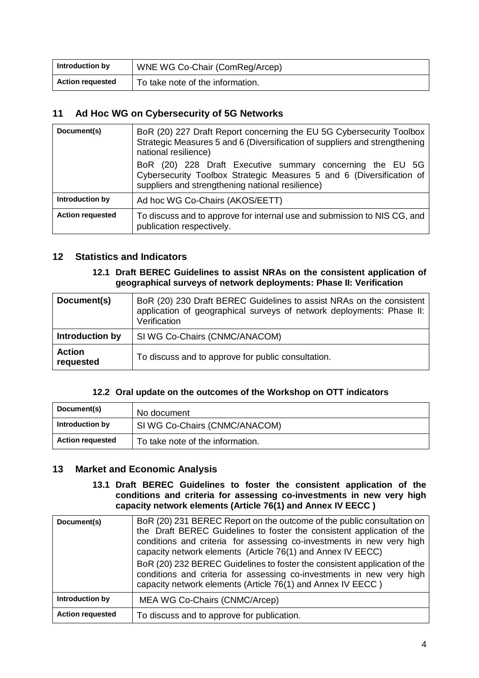| Introduction by         | WNE WG Co-Chair (ComReg/Arcep)   |
|-------------------------|----------------------------------|
| <b>Action requested</b> | To take note of the information. |

### **11 Ad Hoc WG on Cybersecurity of 5G Networks**

| Document(s)             | BoR (20) 227 Draft Report concerning the EU 5G Cybersecurity Toolbox<br>Strategic Measures 5 and 6 (Diversification of suppliers and strengthening<br>national resilience)            |
|-------------------------|---------------------------------------------------------------------------------------------------------------------------------------------------------------------------------------|
|                         | BoR (20) 228 Draft Executive summary concerning the EU 5G<br>Cybersecurity Toolbox Strategic Measures 5 and 6 (Diversification of<br>suppliers and strengthening national resilience) |
| Introduction by         | Ad hoc WG Co-Chairs (AKOS/EETT)                                                                                                                                                       |
| <b>Action requested</b> | To discuss and to approve for internal use and submission to NIS CG, and<br>publication respectively.                                                                                 |

#### **12 Statistics and Indicators**

#### **12.1 Draft BEREC Guidelines to assist NRAs on the consistent application of geographical surveys of network deployments: Phase II: Verification**

| Document(s)                | BoR (20) 230 Draft BEREC Guidelines to assist NRAs on the consistent<br>application of geographical surveys of network deployments: Phase II:<br>Verification |
|----------------------------|---------------------------------------------------------------------------------------------------------------------------------------------------------------|
| Introduction by            | SI WG Co-Chairs (CNMC/ANACOM)                                                                                                                                 |
| <b>Action</b><br>requested | To discuss and to approve for public consultation.                                                                                                            |

#### **12.2 Oral update on the outcomes of the Workshop on OTT indicators**

| Document(s)             | No document                      |
|-------------------------|----------------------------------|
| Introduction by         | SI WG Co-Chairs (CNMC/ANACOM)    |
| <b>Action requested</b> | To take note of the information. |

## **13 Market and Economic Analysis**

#### **13.1 Draft BEREC Guidelines to foster the consistent application of the conditions and criteria for assessing co-investments in new very high capacity network elements (Article 76(1) and Annex IV EECC )**

| Document(s)             | BoR (20) 231 BEREC Report on the outcome of the public consultation on<br>the Draft BEREC Guidelines to foster the consistent application of the<br>conditions and criteria for assessing co-investments in new very high<br>capacity network elements (Article 76(1) and Annex IV EECC)<br>BoR (20) 232 BEREC Guidelines to foster the consistent application of the<br>conditions and criteria for assessing co-investments in new very high<br>capacity network elements (Article 76(1) and Annex IV EECC) |
|-------------------------|---------------------------------------------------------------------------------------------------------------------------------------------------------------------------------------------------------------------------------------------------------------------------------------------------------------------------------------------------------------------------------------------------------------------------------------------------------------------------------------------------------------|
| Introduction by         | MEA WG Co-Chairs (CNMC/Arcep)                                                                                                                                                                                                                                                                                                                                                                                                                                                                                 |
| <b>Action requested</b> | To discuss and to approve for publication.                                                                                                                                                                                                                                                                                                                                                                                                                                                                    |